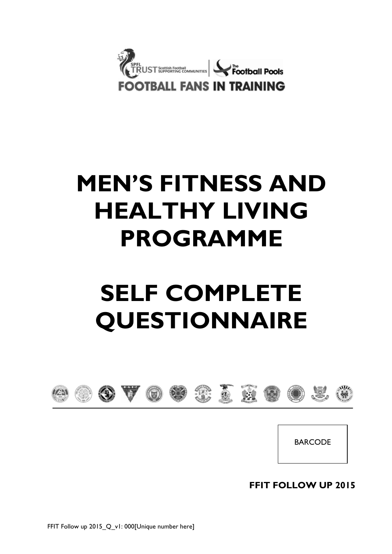

# **MEN'S FITNESS AND HEALTHY LIVING PROGRAMME**

# **SELF COMPLETE QUESTIONNAIRE**



BARCODE

**FFIT FOLLOW UP 2015**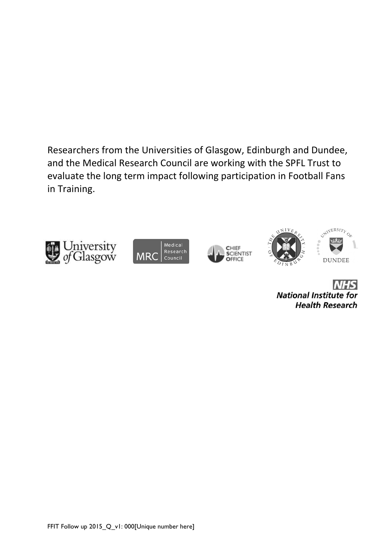Researchers from the Universities of Glasgow, Edinburgh and Dundee, and the Medical Research Council are working with the SPFL Trust to evaluate the long term impact following participation in Football Fans in Training.











**NHS National Institute for Health Research**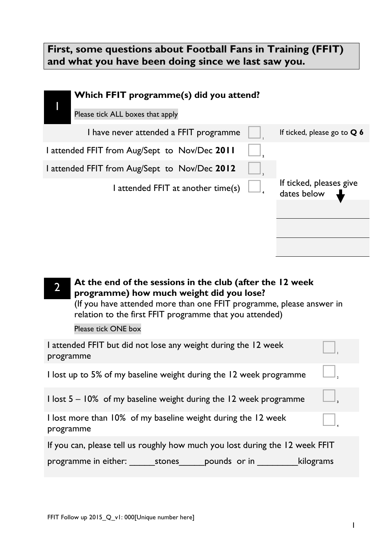## **First, some questions about Football Fans in Training (FFIT) and what you have been doing since we last saw you.**

| Which FFIT programme(s) did you attend?                                                                                                                                                                                                  |                                        |
|------------------------------------------------------------------------------------------------------------------------------------------------------------------------------------------------------------------------------------------|----------------------------------------|
| Please tick ALL boxes that apply                                                                                                                                                                                                         |                                        |
| I have never attended a FFIT programme                                                                                                                                                                                                   | If ticked, please go to $Q$ 6          |
| I attended FFIT from Aug/Sept to Nov/Dec 2011                                                                                                                                                                                            |                                        |
| 1 attended FFIT from Aug/Sept to Nov/Dec 2012                                                                                                                                                                                            |                                        |
| I attended FFIT at another time(s)                                                                                                                                                                                                       | If ticked, pleases give<br>dates below |
|                                                                                                                                                                                                                                          |                                        |
|                                                                                                                                                                                                                                          |                                        |
|                                                                                                                                                                                                                                          |                                        |
|                                                                                                                                                                                                                                          |                                        |
| At the end of the sessions in the club (after the 12 week<br>programme) how much weight did you lose?<br>(If you have attended more than one FFIT programme, please answer in<br>relation to the first FFIT programme that you attended) |                                        |
| Please tick ONE box                                                                                                                                                                                                                      |                                        |
| I attended FFIT but did not lose any weight during the 12 week<br>programme                                                                                                                                                              |                                        |
|                                                                                                                                                                                                                                          |                                        |

I lost up to 5% of my baseline weight during the 12 week programme  $\Box$ 

I lost 5 – 10% of my baseline weight during the 12 week programme **<sup>3</sup>**

|           | I lost more than 10% of my baseline weight during the 12 week |
|-----------|---------------------------------------------------------------|
| programme |                                                               |

If you can, please tell us roughly how much you lost during the 12 week FFIT

programme in either: \_\_\_\_\_\_\_stones\_\_\_\_\_\_pounds or in \_\_\_\_\_\_\_\_\_\_\_kilograms

 $\Box$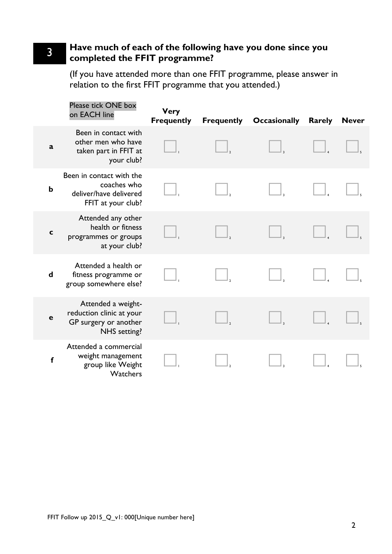#### 3 **Have much of each of the following have you done since you completed the FFIT programme?**

(If you have attended more than one FFIT programme, please answer in relation to the first FFIT programme that you attended.)

|             | Please tick ONE box<br>on EACH line                                                     | <b>Very</b><br><b>Frequently</b> | <b>Frequently Occasionally</b> | Rarely | <b>Never</b> |
|-------------|-----------------------------------------------------------------------------------------|----------------------------------|--------------------------------|--------|--------------|
| a           | Been in contact with<br>other men who have<br>taken part in FFIT at<br>your club?       |                                  |                                |        |              |
| $\mathbf b$ | Been in contact with the<br>coaches who<br>deliver/have delivered<br>FFIT at your club? |                                  |                                |        |              |
| $\mathbf c$ | Attended any other<br>health or fitness<br>programmes or groups<br>at your club?        |                                  |                                |        |              |
| $\mathbf d$ | Attended a health or<br>fitness programme or<br>group somewhere else?                   |                                  |                                |        |              |
| $\mathbf e$ | Attended a weight-<br>reduction clinic at your<br>GP surgery or another<br>NHS setting? |                                  |                                |        |              |
| f           | Attended a commercial<br>weight management<br>group like Weight<br>Watchers             |                                  |                                |        |              |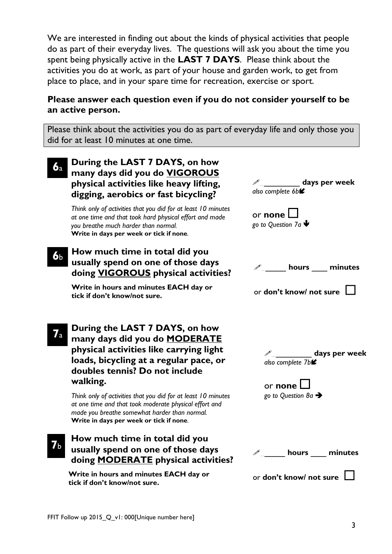We are interested in finding out about the kinds of physical activities that people do as part of their everyday lives. The questions will ask you about the time you spent being physically active in the **LAST 7 DAYS**. Please think about the activities you do at work, as part of your house and garden work, to get from place to place, and in your spare time for recreation, exercise or sport.

#### **Please answer each question even if you do not consider yourself to be an active person.**

Please think about the activities you do as part of everyday life and only those you did for at least 10 minutes at one time.

| 6a                     | During the LAST 7 DAYS, on how<br>many days did you do VIGOROUS<br>physical activities like heavy lifting,<br>digging, aerobics or fast bicycling?                                                                                                                                                                                                                                                                               | days per week<br>also complete 6b <sup>2</sup>                                                 |
|------------------------|----------------------------------------------------------------------------------------------------------------------------------------------------------------------------------------------------------------------------------------------------------------------------------------------------------------------------------------------------------------------------------------------------------------------------------|------------------------------------------------------------------------------------------------|
|                        | Think only of activities that you did for at least 10 minutes<br>at one time and that took hard physical effort and made<br>you breathe much harder than normal.<br>Write in days per week or tick if none.                                                                                                                                                                                                                      | or none<br>go to Question 7a $\blacklozenge$                                                   |
| 6 <sub>b</sub>         | How much time in total did you<br>usually spend on one of those days<br>doing <b>VIGOROUS</b> physical activities?                                                                                                                                                                                                                                                                                                               | $\mathscr{P}_{\mathfrak{m}}$ hours minutes                                                     |
|                        | Write in hours and minutes EACH day or<br>tick if don't know/not sure.                                                                                                                                                                                                                                                                                                                                                           | or don't know/ not sure                                                                        |
| $\mathcal{I}_\text{a}$ | During the LAST 7 DAYS, on how<br>many days did you do <b>MODERATE</b><br>physical activities like carrying light<br>loads, bicycling at a regular pace, or<br>doubles tennis? Do not include<br>walking.<br>Think only of activities that you did for at least 10 minutes<br>at one time and that took moderate physical effort and<br>made you breathe somewhat harder than normal.<br>Write in days per week or tick if none. | _ days per week<br>also complete 7b <sup>2</sup><br>or none<br>go to Question 8a $\rightarrow$ |
|                        | How much time in total did you<br>usually spend on one of those days<br>doing <b>MODERATE</b> physical activities?                                                                                                                                                                                                                                                                                                               | hours $\_\_$<br>minutes                                                                        |
|                        | Write in hours and minutes EACH day or<br>tick if don't know/not sure.                                                                                                                                                                                                                                                                                                                                                           | or don't know/ not sure                                                                        |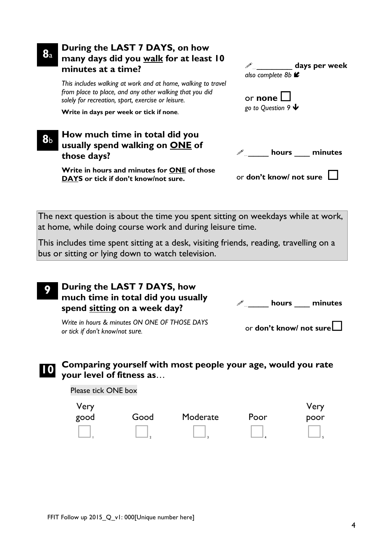| $\mathbf{8}_{\mathrm{a}}$ | During the LAST 7 DAYS, on how<br>many days did you walk for at least 10<br>minutes at a time?                                                                                | $\mathscr{P}_{\mathbb{Z}}$ days per week<br>also complete 8b <sup>■</sup> |
|---------------------------|-------------------------------------------------------------------------------------------------------------------------------------------------------------------------------|---------------------------------------------------------------------------|
|                           | This includes walking at work and at home, walking to travel<br>from place to place, and any other walking that you did<br>solely for recreation, sport, exercise or leisure. | or none                                                                   |
|                           | Write in days per week or tick if none.                                                                                                                                       | go to Question 9 $\blacklozenge$                                          |
| 8ь                        | How much time in total did you<br>usually spend walking on ONE of<br>those days?                                                                                              | hours minutes                                                             |
|                           | Write in hours and minutes for ONE of those<br>DAYS or tick if don't know/not sure.                                                                                           | or don't know/ not sure                                                   |

The next question is about the time you spent sitting on weekdays while at work, at home, while doing course work and during leisure time.

This includes time spent sitting at a desk, visiting friends, reading, travelling on a bus or sitting or lying down to watch television.

#### **9 During the LAST 7 DAYS, how much time in total did you usually spend sitting on a week day?**

… \_\_\_\_ **hours** \_\_\_ **minutes**

*Write in hours & minutes ON ONE OF THOSE DAYS or tick if don't know/not sure.*

or **don't know/ not sure**

#### **10 Comparing yourself with most people your age, would you rate your level of fitness as**…

Please tick ONE box

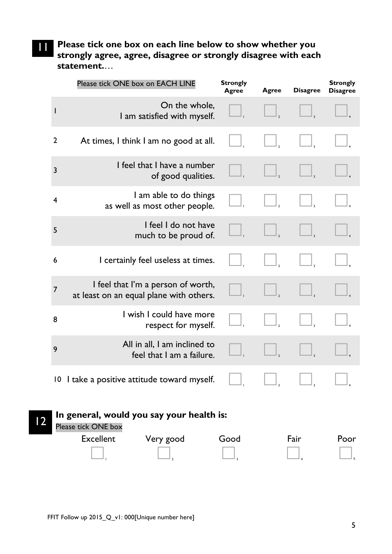# 11 **Please tick one box on each line below to show whether you strongly agree, agree, disagree or strongly disagree with each statement.**…

|                 | Please tick ONE box on EACH LINE                                              | <b>Strongly</b><br><b>Agree</b> | <b>Agree</b> | <b>Disagree</b> | <b>Strongly</b><br><b>Disagree</b> |
|-----------------|-------------------------------------------------------------------------------|---------------------------------|--------------|-----------------|------------------------------------|
| I               | On the whole,<br>I am satisfied with myself.                                  |                                 |              |                 |                                    |
| $\overline{2}$  | At times, I think I am no good at all.                                        |                                 |              |                 |                                    |
| $\overline{3}$  | I feel that I have a number<br>of good qualities.                             |                                 |              |                 |                                    |
| $\overline{4}$  | I am able to do things<br>as well as most other people.                       |                                 |              |                 |                                    |
| 5               | I feel I do not have<br>much to be proud of.                                  |                                 |              |                 |                                    |
| 6               | I certainly feel useless at times.                                            |                                 |              |                 |                                    |
| 7               | I feel that I'm a person of worth,<br>at least on an equal plane with others. |                                 |              |                 |                                    |
| 8               | I wish I could have more<br>respect for myself.                               |                                 |              |                 |                                    |
| 9               | All in all, I am inclined to<br>feel that I am a failure.                     |                                 |              |                 |                                    |
| $\overline{10}$ | I take a positive attitude toward myself.                                     |                                 |              |                 |                                    |
|                 | In general, would you say your health is:<br>Please tick ONE box              |                                 |              |                 |                                    |
|                 | <b>Excellent</b><br>Very good                                                 | Good                            |              | Fair            | Poor                               |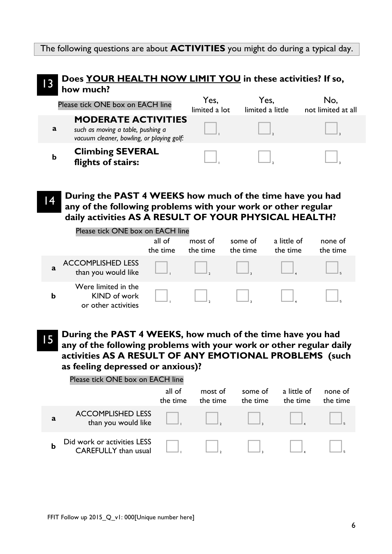The following questions are about **ACTIVITIES** you might do during a typical day.

#### 13 **Does YOUR HEALTH NOW LIMIT YOU in these activities? If so, how much?**  Please tick ONE box on EACH line Yes, No,

|             |                                                                                                              | limited a lot | limited a little | not limited at all |
|-------------|--------------------------------------------------------------------------------------------------------------|---------------|------------------|--------------------|
| a           | <b>MODERATE ACTIVITIES</b><br>such as moving a table, pushing a<br>vacuum cleaner, bowling, or playing golf: |               |                  |                    |
| $\mathbf b$ | <b>Climbing SEVERAL</b><br>flights of stairs:                                                                |               |                  |                    |

14 **During the PAST 4 WEEKS how much of the time have you had any of the following problems with your work or other regular daily activities AS A RESULT OF YOUR PHYSICAL HEALTH?**

|   | Please tick ONE box on EACH line                           |                    |                     |                     |                         |                     |
|---|------------------------------------------------------------|--------------------|---------------------|---------------------|-------------------------|---------------------|
|   |                                                            | all of<br>the time | most of<br>the time | some of<br>the time | a little of<br>the time | none of<br>the time |
| a | <b>ACCOMPLISHED LESS</b><br>than you would like            |                    |                     |                     |                         |                     |
| b | Were limited in the<br>KIND of work<br>or other activities |                    |                     |                     |                         |                     |

15 **During the PAST 4 WEEKS, how much of the time have you had any of the following problems with your work or other regular daily activities AS A RESULT OF ANY EMOTIONAL PROBLEMS (such as feeling depressed or anxious)?**

|   | Please tick ONE box on EACH line                    |                    |                     |                     |                                         |                     |
|---|-----------------------------------------------------|--------------------|---------------------|---------------------|-----------------------------------------|---------------------|
|   |                                                     | all of<br>the time | most of<br>the time | some of<br>the time | a little of<br>the time                 | none of<br>the time |
| a | <b>ACCOMPLISHED LESS</b><br>than you would like     |                    |                     |                     | $\Box,$ $\Box,$ $\Box,$ $\Box,$ $\Box,$ |                     |
| b | Did work or activities LESS<br>CAREFULLY than usual |                    |                     |                     |                                         |                     |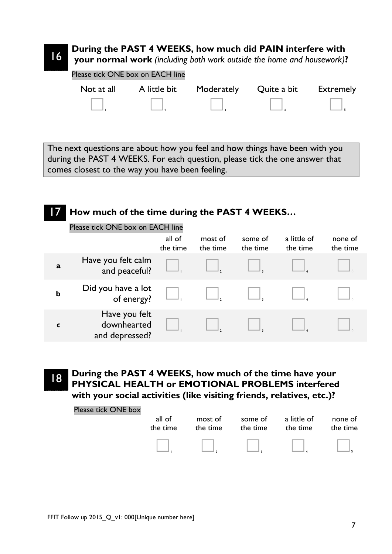### **During the PAST 4 WEEKS, how much did PAIN interfere with**

**your normal work** *(including both work outside the home and housework)***?**

Please tick ONE box on EACH line

| Not at all | A little bit Moderately Quite a bit Extremely |        |                                                             |
|------------|-----------------------------------------------|--------|-------------------------------------------------------------|
| $\Box$     | $\Box$                                        | $\Box$ | $\begin{array}{c} \begin{array}{c} \end{array} \end{array}$ |

The next questions are about how you feel and how things have been with you during the PAST 4 WEEKS. For each question, please tick the one answer that comes closest to the way you have been feeling.

### How much of the time during the PAST 4 WEEKS...

| Please tick ONE box on EACH line |  |
|----------------------------------|--|
|----------------------------------|--|

|             |                                                | all of<br>the time | most of<br>the time | some of<br>the time | a little of<br>the time | none of<br>the time |
|-------------|------------------------------------------------|--------------------|---------------------|---------------------|-------------------------|---------------------|
| a           | Have you felt calm<br>and peaceful?            |                    |                     |                     |                         |                     |
| $\mathbf b$ | Did you have a lot<br>of energy?               |                    |                     |                     |                         |                     |
|             | Have you felt<br>downhearted<br>and depressed? |                    |                     |                     |                         |                     |

16

**During the PAST 4 WEEKS, how much of the time have your PHYSICAL HEALTH or EMOTIONAL PROBLEMS interfered with your social activities (like visiting friends, relatives, etc.)?**

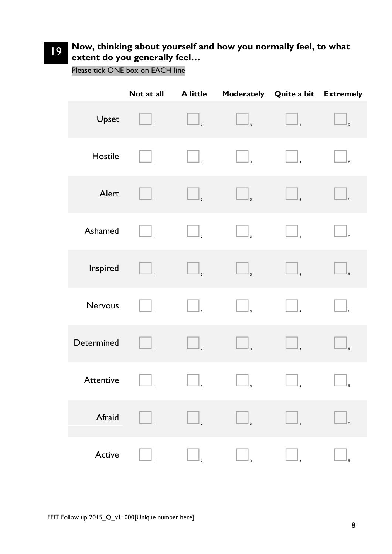### 19 **Now, thinking about yourself and how you normally feel, to what extent do you generally feel…**

Please tick ONE box on EACH line

|                                 | Not at all | <b>A</b> little                     |                                | Moderately Quite a bit Extremely                          |                                       |
|---------------------------------|------------|-------------------------------------|--------------------------------|-----------------------------------------------------------|---------------------------------------|
| Upset                           | $\Box$     |                                     |                                |                                                           | $\Big]_5$                             |
| Hostile                         | Ш.         | $\boxed{\phantom{1}}_{\phantom{1}}$ | $\Box$                         |                                                           | $\Big\rfloor_5$                       |
| Alert                           | $\Box$     | $\overline{\phantom{a}}_2$          | $\big $ <sub>3</sub>           | $\begin{array}{c} \boxed{4} \end{array}$                  | $\Big]_5$                             |
| Ashamed                         | Ш.         | $\Box$                              | $\Box$                         |                                                           |                                       |
| Inspired                        | $\Box$     | $\overline{\phantom{a}}_2$          | $\big\rfloor_{_3}$             |                                                           | $\big _{5}$                           |
| Nervous                         | $\Box$ ,   | $\Box$                              | $\Box$                         |                                                           | $\begin{array}{c} \hline \end{array}$ |
| Determined                      | $\Box$     | $\boxed{\phantom{1}}_{\phantom{1}}$ | $\big _{\scriptscriptstyle 3}$ | $\vert$ <sub>4</sub>                                      | $\Big]_5$                             |
| Attentive $\boxed{\phantom{a}}$ |            | $\overline{\phantom{a}}_2$          | $\overline{\phantom{a}}$       | $\begin{array}{ c c c }\n\hline\n\text{---}\n\end{array}$ | $\perp_{5}$                           |
| Afraid                          |            | $\mathbb{I}_2$                      | $\big _{3}$                    |                                                           | $\mathbb{I}_5$                        |
| Active                          |            |                                     | 3                              |                                                           | 5                                     |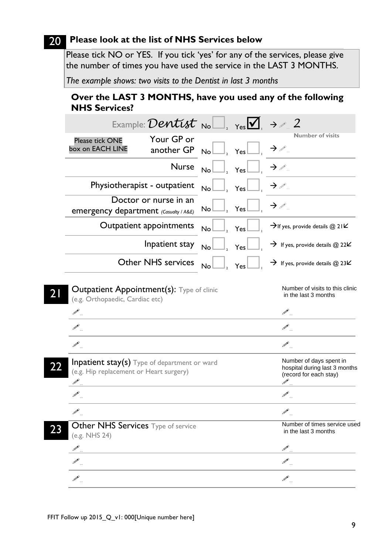### 20 **Please look at the list of NHS Services below**

Please tick NO or YES. If you tick 'yes' for any of the services, please give the number of times you have used the service in the LAST 3 MONTHS.

*The example shows: two visits to the Dentist in last 3 months*

#### **Over the LAST 3 MONTHS, have you used any of the following NHS Services?**

|                                                                                                | Example: Dentist $_{\text{No}}$ $\Box$ , $_{\text{Yes}}$ $\Box$ $\rightarrow$ 2. |                         |                                                                                          |                                                                                    |
|------------------------------------------------------------------------------------------------|----------------------------------------------------------------------------------|-------------------------|------------------------------------------------------------------------------------------|------------------------------------------------------------------------------------|
| Please tick ONE<br>box on EACH LINE                                                            | Your GP or<br>another GP                                                         |                         | $N_o \Box$ <sub>2</sub> $\gamma_{es} \Box$ <sub>1</sub> $\rightarrow \mathcal{P}_o$      | <b>Number of visits</b>                                                            |
|                                                                                                | <b>Nurse</b>                                                                     |                         | $\mathsf{No}\Box$ <sub>2</sub> $\mathsf{Yes}\Box$ <sub>1</sub> $\rightarrow \mathscr{P}$ |                                                                                    |
|                                                                                                | Physiotherapist - outpatient                                                     | $\mathsf{No}\Box$ , Yes |                                                                                          | $\rightarrow \mathbb{Z}$                                                           |
| emergency department (Casualty / A&E)                                                          | Doctor or nurse in an                                                            | $\mathsf{No}\Box$ , Yes |                                                                                          | $\rightarrow \mathcal{P}_{\alpha}$                                                 |
|                                                                                                | Outpatient appointments                                                          | $No$ , Yes              |                                                                                          | $\rightarrow$ If yes, provide details @ 21 $\bm{K}$                                |
|                                                                                                | Inpatient stay                                                                   | $No$ $\Box$ .           | Yes                                                                                      | $\rightarrow$ If yes, provide details @ 22 $\kappa$                                |
|                                                                                                | <b>Other NHS services</b>                                                        | $\mathsf{No}\Box,$      | Yes                                                                                      | $\rightarrow$ If yes, provide details @ 23 $\kappa$                                |
| <b>Outpatient Appointment(s):</b> Type of clinic<br>(e.g. Orthopaedic, Cardiac etc)            |                                                                                  |                         |                                                                                          | Number of visits to this clinic<br>in the last 3 months                            |
|                                                                                                |                                                                                  |                         |                                                                                          |                                                                                    |
|                                                                                                |                                                                                  |                         |                                                                                          |                                                                                    |
| $\mathscr{P}_-$                                                                                |                                                                                  |                         |                                                                                          |                                                                                    |
| <b>Inpatient stay(s)</b> Type of department or ward<br>(e.g. Hip replacement or Heart surgery) |                                                                                  |                         |                                                                                          | Number of days spent in<br>hospital during last 3 months<br>(record for each stay) |
|                                                                                                |                                                                                  |                         |                                                                                          | $\mathscr{P}$                                                                      |
| $\mathscr{P}$                                                                                  |                                                                                  |                         |                                                                                          |                                                                                    |
| Other NHS Services Type of service<br>(e.g. NHS 24)                                            |                                                                                  |                         |                                                                                          | Number of times service used<br>in the last 3 months                               |
|                                                                                                |                                                                                  |                         |                                                                                          |                                                                                    |
|                                                                                                |                                                                                  |                         |                                                                                          | $\mathscr{P}$                                                                      |
|                                                                                                |                                                                                  |                         |                                                                                          | Í                                                                                  |
|                                                                                                |                                                                                  |                         |                                                                                          |                                                                                    |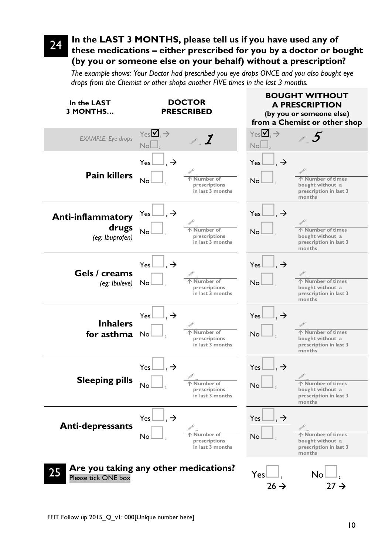### 24 **In the LAST 3 MONTHS, please tell us if you have used any of these medications – either prescribed for you by a doctor or bought (by you or someone else on your behalf) without a prescription?**

*The example shows: Your Doctor had prescribed you eye drops ONCE and you also bought eye drops from the Chemist or other shops another FIVE times in the last 3 months.*

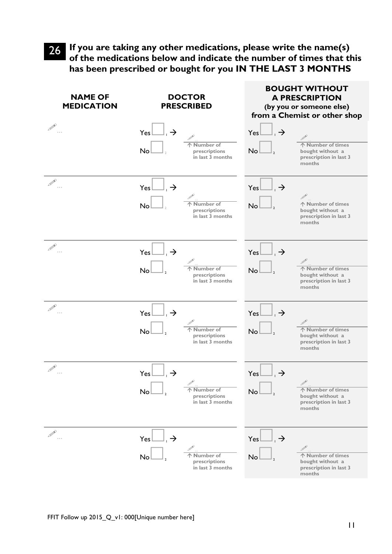26 **If you are taking any other medications, please write the name(s) of the medications below and indicate the number of times that this has been prescribed or bought for you IN THE LAST 3 MONTHS**

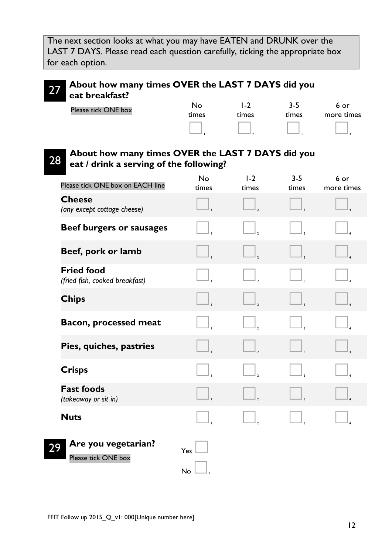The next section looks at what you may have EATEN and DRUNK over the LAST 7 DAYS. Please read each question carefully, ticking the appropriate box for each option.

### 27 **About how many times OVER the LAST 7 DAYS did you eat breakfast?**

| Please tick ONE box | Nο    | $\overline{-2}$ | $3 - 5$ | 6 or       |
|---------------------|-------|-----------------|---------|------------|
|                     | times | times           | times   | more times |
|                     |       |                 |         |            |

#### 28 **About how many times OVER the LAST 7 DAYS did you eat / drink a serving of the following?**

| Please tick ONE box on EACH line                    | No<br>times | $1-2$<br>times | $3 - 5$<br>times | 6 or<br>more times |
|-----------------------------------------------------|-------------|----------------|------------------|--------------------|
| <b>Cheese</b><br>(any except cottage cheese)        |             |                |                  |                    |
| Beef burgers or sausages                            |             |                |                  |                    |
| Beef, pork or lamb                                  |             |                |                  |                    |
| <b>Fried food</b><br>(fried fish, cooked breakfast) |             |                |                  |                    |
| <b>Chips</b>                                        |             |                |                  |                    |
| <b>Bacon, processed meat</b>                        |             |                |                  |                    |
| Pies, quiches, pastries                             |             |                |                  |                    |
| <b>Crisps</b>                                       |             |                |                  |                    |
| <b>Fast foods</b><br>(takeaway or sit in)           |             |                |                  |                    |
| <b>Nuts</b>                                         |             |                |                  |                    |
| Are you vegetarian?<br>29<br>Please tick ONE box    | Yes         |                |                  |                    |
|                                                     | No          |                |                  |                    |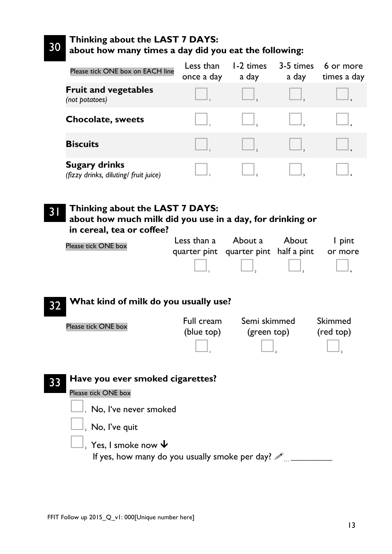#### 30 **Thinking about the LAST 7 DAYS: about how many times a day did you eat the following:**

| Please tick ONE box on EACH line                              | Less than<br>once a day | 1-2 times<br>a day | 3-5 times<br>a day | 6 or more<br>times a day |
|---------------------------------------------------------------|-------------------------|--------------------|--------------------|--------------------------|
| <b>Fruit and vegetables</b><br>(not potatoes)                 |                         |                    |                    |                          |
| <b>Chocolate, sweets</b>                                      |                         |                    |                    |                          |
| <b>Biscuits</b>                                               |                         |                    |                    |                          |
| <b>Sugary drinks</b><br>(fizzy drinks, diluting/ fruit juice) |                         |                    |                    |                          |

31 **Thinking about the LAST 7 DAYS: about how much milk did you use in a day, for drinking or in cereal, tea or coffee?**  $P$  occation  $\Omega$ About a About  $1 \cdot \text{init}$ 

| Please tick ONE box | Less uldu de About de About de l'unit         |                  |        |
|---------------------|-----------------------------------------------|------------------|--------|
|                     | quarter pint quarter pint half a pint or more |                  |        |
|                     | $\overline{\phantom{a}}$                      | and the property | $\Box$ |

32 **What kind of milk do you usually use?**  Please tick ONE box  $\begin{array}{ccc} \bullet & & \bullet & \bullet \\ \bullet & & & \bullet & \end{array}$ (blue top) Semi skimmed (green top) Skimmed (red top)  $\overline{\mathcal{L}}$ 33 **Have you ever smoked cigarettes?** Please tick ONE box  $\Box$  No, I've never smoked  $\mathrel{\sqcup}_\text{\tiny 2}$  No, I've quit  $\Box$ , Yes, I smoke now  $\bm{\downarrow}$ If yes, how many do you usually smoke per day?  $\mathscr{P}$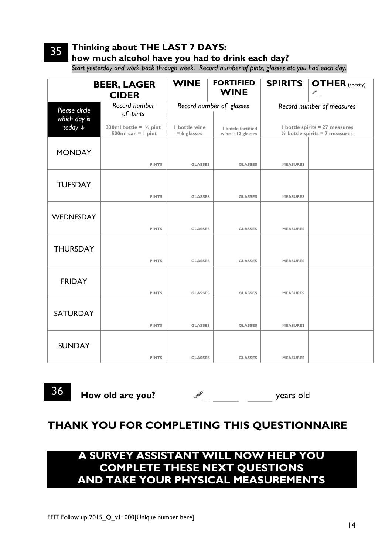# 35

**Thinking about THE LAST 7 DAYS:** 

**how much alcohol have you had to drink each day?** 

*Start yesterday and work back through week. Record number of pints, glasses etc you had each day.*

|                               | <b>BEER, LAGER</b><br><b>CIDER</b>                        | <b>WINE</b>                    | <b>FORTIFIED</b><br><b>WINE</b>           |                 | <b>SPIRITS   OTHER (Specify)</b><br>$\begin{picture}(120,20) \put(0,0){\line(1,0){10}} \put(15,0){\line(1,0){10}} \put(15,0){\line(1,0){10}} \put(15,0){\line(1,0){10}} \put(15,0){\line(1,0){10}} \put(15,0){\line(1,0){10}} \put(15,0){\line(1,0){10}} \put(15,0){\line(1,0){10}} \put(15,0){\line(1,0){10}} \put(15,0){\line(1,0){10}} \put(15,0){\line(1,0){10}} \put(15,0){\line($ |  |  |  |
|-------------------------------|-----------------------------------------------------------|--------------------------------|-------------------------------------------|-----------------|-----------------------------------------------------------------------------------------------------------------------------------------------------------------------------------------------------------------------------------------------------------------------------------------------------------------------------------------------------------------------------------------|--|--|--|
| Please circle<br>which day is | Record number<br>of pints                                 |                                | Record number of glasses                  |                 | Record number of measures                                                                                                                                                                                                                                                                                                                                                               |  |  |  |
| today $\downarrow$            | 330ml bottle = $\frac{1}{2}$ pint<br>500ml can $= 1$ pint | I bottle wine<br>$= 6$ glasses | I bottle fortified<br>wine $=$ 12 glasses |                 | I bottle spirits = 27 measures<br>$\frac{1}{4}$ bottle spirits = 7 measures                                                                                                                                                                                                                                                                                                             |  |  |  |
| <b>MONDAY</b>                 | <b>PINTS</b>                                              | <b>GLASSES</b>                 | <b>GLASSES</b>                            | <b>MEASURES</b> |                                                                                                                                                                                                                                                                                                                                                                                         |  |  |  |
| <b>TUESDAY</b>                |                                                           |                                |                                           |                 |                                                                                                                                                                                                                                                                                                                                                                                         |  |  |  |
|                               | <b>PINTS</b>                                              | <b>GLASSES</b>                 | <b>GLASSES</b>                            | <b>MEASURES</b> |                                                                                                                                                                                                                                                                                                                                                                                         |  |  |  |
| WEDNESDAY                     | <b>PINTS</b>                                              |                                |                                           |                 |                                                                                                                                                                                                                                                                                                                                                                                         |  |  |  |
|                               |                                                           | <b>GLASSES</b>                 | <b>GLASSES</b>                            | <b>MEASURES</b> |                                                                                                                                                                                                                                                                                                                                                                                         |  |  |  |
| <b>THURSDAY</b>               |                                                           |                                |                                           |                 |                                                                                                                                                                                                                                                                                                                                                                                         |  |  |  |
|                               | <b>PINTS</b>                                              | <b>GLASSES</b>                 | <b>GLASSES</b>                            | <b>MEASURES</b> |                                                                                                                                                                                                                                                                                                                                                                                         |  |  |  |
| <b>FRIDAY</b>                 | <b>PINTS</b>                                              | <b>GLASSES</b>                 | <b>GLASSES</b>                            | <b>MEASURES</b> |                                                                                                                                                                                                                                                                                                                                                                                         |  |  |  |
|                               |                                                           |                                |                                           |                 |                                                                                                                                                                                                                                                                                                                                                                                         |  |  |  |
| <b>SATURDAY</b>               |                                                           |                                |                                           |                 |                                                                                                                                                                                                                                                                                                                                                                                         |  |  |  |
|                               | <b>PINTS</b>                                              | <b>GLASSES</b>                 | <b>GLASSES</b>                            | <b>MEASURES</b> |                                                                                                                                                                                                                                                                                                                                                                                         |  |  |  |
| <b>SUNDAY</b>                 |                                                           |                                |                                           |                 |                                                                                                                                                                                                                                                                                                                                                                                         |  |  |  |
|                               | <b>PINTS</b>                                              | <b>GLASSES</b>                 | <b>GLASSES</b>                            | <b>MEASURES</b> |                                                                                                                                                                                                                                                                                                                                                                                         |  |  |  |

36 **How old are you?** … years old

# **THANK YOU FOR COMPLETING THIS QUESTIONNAIRE**

# **A SURVEY ASSISTANT WILL NOW HELP YOU COMPLETE THESE NEXT QUESTIONS AND TAKE YOUR PHYSICAL MEASUREMENTS**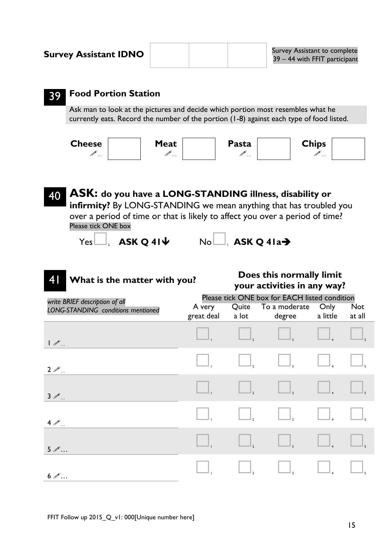| <b>Survey Assistant IDNO</b>                                                                                                                                                |             |       | Survey Assistant to comple<br>39 - 44 with FFIT particip |  |
|-----------------------------------------------------------------------------------------------------------------------------------------------------------------------------|-------------|-------|----------------------------------------------------------|--|
| <b>Food Portion Station</b>                                                                                                                                                 |             |       |                                                          |  |
| Ask man to look at the pictures and decide which portion most resembles what he<br>currently eats. Record the number of the portion (1-8) against each type of food listed. |             |       |                                                          |  |
| <b>Cheese</b>                                                                                                                                                               | <b>Meat</b> | Pasta | <b>Chips</b>                                             |  |

## 40 **ASK: do you have a LONG-STANDING illness, disability or infirmity?** By LONG-STANDING we mean anything that has troubled you over a period of time or that is likely to affect you over a period of time? Please tick ONE box  $Yes$ ,  $AsK Q 41$   $No$ ,  $ASK Q 41a$



### 41 **What is the matter with you? Does this normally limit your activities in any way?**

| write BRIEF description of all     | Please tick ONE box for EACH listed condition |                            |                                             |                                                                           |                      |  |  |  |  |  |  |
|------------------------------------|-----------------------------------------------|----------------------------|---------------------------------------------|---------------------------------------------------------------------------|----------------------|--|--|--|--|--|--|
| LONG-STANDING conditions mentioned | A very<br>great deal                          | a lot                      | Quite To a moderate<br>degree               | Only<br>a little                                                          | <b>Not</b><br>at all |  |  |  |  |  |  |
| $\mathcal{P}_{\ldots}$             |                                               |                            |                                             |                                                                           |                      |  |  |  |  |  |  |
| $2 \mathcal{L}$                    |                                               | $\Box,$                    | $\begin{array}{ c c }\n\hline\n\end{array}$ | $\begin{bmatrix} 1 \\ -4 \end{bmatrix}$                                   |                      |  |  |  |  |  |  |
| $3 \mathcal{P}$                    |                                               | $\overline{\phantom{a}}_2$ |                                             |                                                                           |                      |  |  |  |  |  |  |
| $4\mathcal{P}_{}$                  |                                               | $\Box$                     | $\Box$                                      | $\begin{array}{c} \boxed{\phantom{0}} \\ \boxed{\phantom{0}} \end{array}$ |                      |  |  |  |  |  |  |
| $5 \mathcal{D}$                    |                                               | $\Box$                     |                                             |                                                                           |                      |  |  |  |  |  |  |
| $6 \mathcal{P}$                    |                                               |                            |                                             |                                                                           |                      |  |  |  |  |  |  |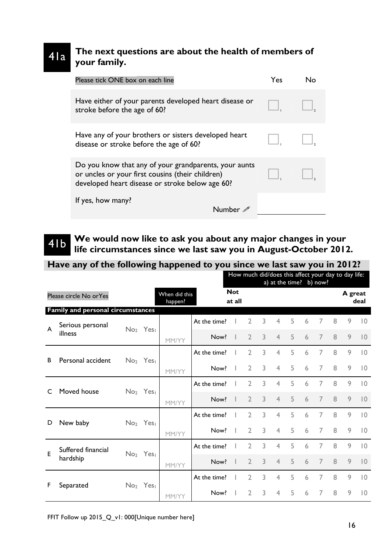#### 41a **The next questions are about the health of members of your family.**

| Please tick ONE box on each line                                                                                                                             | Yes |  |
|--------------------------------------------------------------------------------------------------------------------------------------------------------------|-----|--|
| Have either of your parents developed heart disease or<br>stroke before the age of 60?                                                                       |     |  |
| Have any of your brothers or sisters developed heart<br>disease or stroke before the age of 60?                                                              |     |  |
| Do you know that any of your grandparents, your aunts<br>or uncles or your first cousins (their children)<br>developed heart disease or stroke below age 60? |     |  |
| If yes, how many?<br>Numher                                                                                                                                  |     |  |

### 41b **We would now like to ask you about any major changes in your life circumstances since we last saw you in August-October 2012.**

|   | Have any of the following happened to you since we last saw you in 2012? |                                  |                                  |       |                      |  |                |   |                |                                  |   |                |         |                                                     |                |
|---|--------------------------------------------------------------------------|----------------------------------|----------------------------------|-------|----------------------|--|----------------|---|----------------|----------------------------------|---|----------------|---------|-----------------------------------------------------|----------------|
|   |                                                                          |                                  |                                  |       |                      |  |                |   |                | a) at the time? $\boxed{b}$ now? |   |                |         | How much did/does this affect your day to day life: |                |
|   | Please circle No orYes                                                   |                                  | When did this<br>happen?         |       | <b>Not</b><br>at all |  |                |   |                |                                  |   |                | A great | deal                                                |                |
|   | Family and personal circumstances                                        |                                  |                                  |       |                      |  |                |   |                |                                  |   |                |         |                                                     |                |
| A | Serious personal                                                         |                                  | No <sub>2</sub> Yesi             |       | At the time?         |  | C              | 3 | 4              | 5                                | 6 | 7              | 8       | 9                                                   | $ 0\rangle$    |
|   | illness                                                                  |                                  |                                  | MM/YY | Now?                 |  | $\mathcal{D}$  | 3 | $\overline{4}$ | 5                                | 6 | 7              | 8       | 9                                                   | $ 0\rangle$    |
| B | Personal accident                                                        |                                  | No <sub>2</sub> Yes <sub>1</sub> |       | At the time?         |  | 2              | 3 | 4              | 5                                | 6 | 7              | 8       | 9                                                   | $ 0\rangle$    |
|   |                                                                          |                                  |                                  | MM/YY | Now?                 |  | $\overline{2}$ | 3 | 4              | 5                                | 6 | 7              | 8       | 9                                                   | $ 0\rangle$    |
|   | Moved house                                                              |                                  | No <sub>2</sub> Yes              |       | At the time?         |  | $\mathcal{L}$  | 3 | 4              | 5                                | 6 | 7              | 8       | 9                                                   | $ 0\rangle$    |
|   |                                                                          |                                  |                                  | MM/YY | Now?                 |  | $\mathcal{D}$  | 3 | 4              | 5                                | 6 | 7              | 8       | 9                                                   | $\overline{0}$ |
| D | New baby                                                                 |                                  | No <sub>2</sub> Yes <sub>1</sub> |       | At the time?         |  | $\overline{2}$ | 3 | 4              | 5                                | 6 | 7              | 8       | 9                                                   | $ 0\rangle$    |
|   |                                                                          |                                  |                                  | MM/YY | Now?                 |  | $\mathcal{D}$  | 3 | 4              | 5                                | 6 | 7              | 8       | 9                                                   | $ 0\rangle$    |
| E | Suffered financial                                                       |                                  | No <sub>2</sub> Yes              |       | At the time?         |  | $\overline{2}$ | 3 | 4              | 5                                | 6 | 7              | 8       | 9                                                   | $ 0\rangle$    |
|   | hardship                                                                 |                                  |                                  | MM/YY | Now?                 |  | $\mathcal{D}$  | 3 | 4              | 5                                | 6 | $\overline{7}$ | 8       | 9                                                   | $ 0\rangle$    |
| F | Separated                                                                | No <sub>2</sub> Yes <sub>1</sub> |                                  |       | At the time?         |  | $\mathcal{D}$  | 3 | 4              | 5                                | 6 | 7              | 8       | 9                                                   | $ 0\rangle$    |
|   |                                                                          |                                  |                                  | MM/YY | Now?                 |  | 2              | 3 | 4              | 5                                | 6 | 7              | 8       | 9                                                   | $ 0\rangle$    |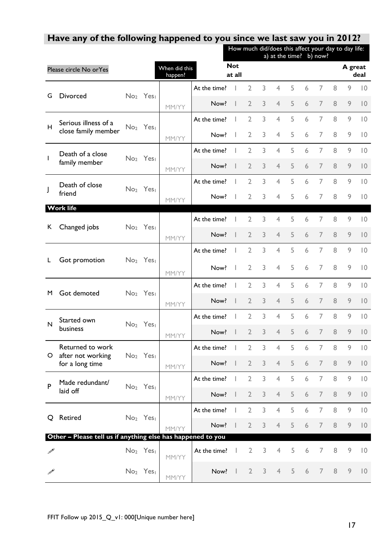|               |                                                             |                                  |                                  |                          |              |                      | How much did/does this affect your day to day life: |   | a) at the time? b) now? |   |   |                |         |         |                |
|---------------|-------------------------------------------------------------|----------------------------------|----------------------------------|--------------------------|--------------|----------------------|-----------------------------------------------------|---|-------------------------|---|---|----------------|---------|---------|----------------|
|               | Please circle No orYes                                      |                                  |                                  | When did this<br>happen? |              | <b>Not</b><br>at all |                                                     |   |                         |   |   |                |         | A great | deal           |
|               |                                                             |                                  |                                  |                          | At the time? |                      | $\overline{2}$                                      | 3 | 4                       | 5 | 6 | 7              | 8       | 9       | 0              |
| G             | <b>Divorced</b>                                             |                                  | No <sub>2</sub> Yes              | MM/YY                    | Now?         |                      | $\overline{2}$                                      | 3 | $\overline{4}$          | 5 | 6 | 7              | 8       | 9       | $ 0\rangle$    |
| H             | Serious illness of a                                        |                                  | No <sub>2</sub> Yes <sub>1</sub> |                          | At the time? |                      | $\overline{2}$                                      | 3 | $\overline{4}$          | 5 | 6 | 7              | 8       | 9       | $ 0\rangle$    |
|               | close family member                                         |                                  |                                  | MM/YY                    | Now?         |                      | $\overline{2}$                                      | 3 | $\overline{4}$          | 5 | 6 | 7              | 8       | 9       | $ 0\rangle$    |
| L             | Death of a close                                            |                                  | No <sub>2</sub> Yes              |                          | At the time? |                      | $\overline{2}$                                      | 3 | 4                       | 5 | 6 | 7              | 8       | 9       | 0              |
|               | family member                                               |                                  |                                  | MM/YY                    | Now?         |                      | $\overline{2}$                                      | 3 | $\overline{4}$          | 5 | 6 | 7              | 8       | 9       | $ 0\rangle$    |
| J             | Death of close                                              |                                  | No <sub>2</sub> Yes <sub>1</sub> |                          | At the time? |                      | 2                                                   | 3 | $\overline{4}$          | 5 | 6 | 7              | 8       | 9       | $ 0\rangle$    |
|               | friend<br>Work life                                         |                                  |                                  | MM/YY                    | Now?         |                      | $\overline{2}$                                      | 3 | 4                       | 5 | 6 | 7              | 8       | 9       | $ 0\rangle$    |
|               |                                                             |                                  |                                  |                          | At the time? |                      | $\overline{2}$                                      | 3 | $\overline{4}$          | 5 | 6 | 7              | 8       | 9       | $ 0\rangle$    |
| K             | Changed jobs                                                |                                  | No <sub>2</sub> Yes <sub>1</sub> | MM/YY                    | Now?         |                      | $\overline{2}$                                      | 3 | $\overline{4}$          | 5 | 6 | 7              | 8       | 9       | 0              |
|               |                                                             |                                  |                                  |                          | At the time? | L                    | $\overline{2}$                                      | 3 | 4                       | 5 | 6 | 7              | 8       | 9       | 0              |
| L             | Got promotion                                               |                                  | No <sub>2</sub> Yes <sub>1</sub> | MM/YY                    | Now?         |                      | $\overline{2}$                                      | 3 | $\overline{4}$          | 5 | 6 | 7              | 8       | 9       | $ 0\rangle$    |
|               |                                                             | No <sub>2</sub> Yes <sub>1</sub> |                                  |                          | At the time? |                      | $\overline{2}$                                      | 3 | 4                       | 5 | 6 | 7              | 8       | 9       | $ 0\rangle$    |
| M             | Got demoted                                                 |                                  |                                  | MM/YY                    | Now?         |                      | $\overline{2}$                                      | 3 | $\overline{4}$          | 5 | 6 | 7              | 8       | 9       | 0              |
| N             | Started own                                                 |                                  | No <sub>2</sub> Yes              |                          | At the time? |                      | $\overline{2}$                                      | 3 | 4                       | 5 | 6 | 7              | 8       | 9       | $ 0\rangle$    |
|               | business                                                    |                                  |                                  | MM/YY                    | Now?         |                      | 2                                                   | 3 | $\overline{4}$          | 5 | 6 | 7              | 8       | 9       | $ 0\rangle$    |
| O             | Returned to work<br>after not working                       |                                  | No <sub>2</sub> Yes <sub>1</sub> |                          | At the time? |                      | 2                                                   | 3 | 4                       | 5 | 6 | 7              | 8       | 9       | $\overline{0}$ |
|               | for a long time                                             |                                  |                                  | MM/YY                    | Now?         |                      | $\overline{2}$                                      | 3 | $\overline{4}$          | 5 | 6 | $\overline{7}$ | 8       | 9       | 0              |
| P             | Made redundant/                                             |                                  | No <sub>2</sub> Yes <sub>1</sub> |                          | At the time? |                      | $\overline{2}$                                      | 3 | $\overline{4}$          | 5 | 6 | 7              | 8       | 9       | 0              |
|               | laid off                                                    |                                  |                                  | MM/YY                    | Now?         |                      | $\overline{2}$                                      | 3 | $\overline{4}$          | 5 | 6 | 7              | 8       | 9       | $ 0\rangle$    |
| Ő             | Retired                                                     |                                  | No <sub>2</sub> Yes <sub>1</sub> |                          | At the time? |                      | $\overline{2}$                                      | 3 | $\overline{4}$          | 5 | 6 | 7              | 8       | 9       | 0              |
|               | Other - Please tell us if anything else has happened to you |                                  |                                  | MM/YY                    | Now?         |                      | $\overline{2}$                                      | 3 | $\overline{4}$          | 5 | 6 | 7              | 8       | 9       | $ 0\rangle$    |
| $\mathscr{P}$ |                                                             |                                  | No <sub>2</sub> Yes <sub>1</sub> |                          | At the time? |                      | $\overline{2}$                                      | 3 | 4                       | 5 | 6 | 7              | 8       | 9       | $\overline{0}$ |
|               |                                                             |                                  |                                  | MM/YY                    |              |                      |                                                     |   |                         |   |   |                |         |         |                |
| $\mathscr{P}$ |                                                             |                                  | No <sub>2</sub> Yes <sub>1</sub> | MM/YY                    | Now?         | - 1                  | $\overline{2}$                                      | 3 | $\overline{4}$          | 5 | 6 | 7              | $\,8\,$ | 9       | 0              |

## **Have any of the following happened to you since we last saw you in 2012?**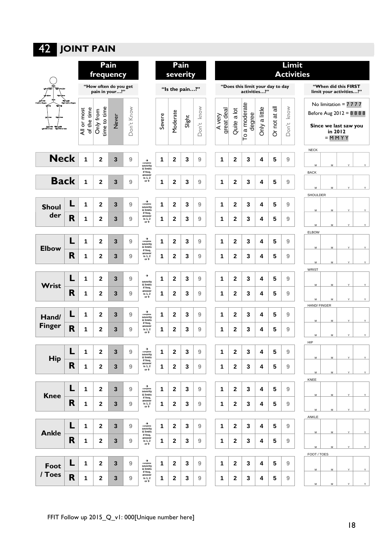# 42 **JOINT PAIN**

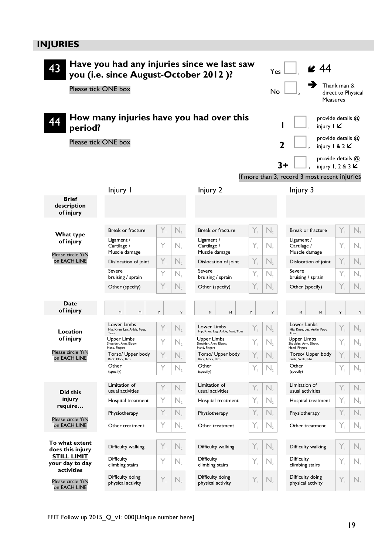# **INJURIES**

| Have you had any injuries since we last saw<br>43<br>you (i.e. since August-October 2012)?<br>Please tick ONE box<br>How many injuries have you had over this | Yes<br>No                                             | $\leq 44$<br>Thank man &<br>direct to Physical<br><b>Measures</b><br>provide details @ |                                                       |                                                          |                                                       |                                                          |
|---------------------------------------------------------------------------------------------------------------------------------------------------------------|-------------------------------------------------------|----------------------------------------------------------------------------------------|-------------------------------------------------------|----------------------------------------------------------|-------------------------------------------------------|----------------------------------------------------------|
| period?                                                                                                                                                       |                                                       |                                                                                        | injury $\mathsf{I} \mathsf{K}$                        | provide details @                                        |                                                       |                                                          |
| Please tick ONE box                                                                                                                                           |                                                       |                                                                                        |                                                       |                                                          |                                                       | injury 1 & 2 $\mathsf{K}$                                |
|                                                                                                                                                               |                                                       |                                                                                        | provide details @<br>$3+$<br>injury 1, 2 & 3 $\angle$ |                                                          |                                                       |                                                          |
|                                                                                                                                                               |                                                       |                                                                                        |                                                       |                                                          | If more than 3, record 3 most recent injuries         |                                                          |
|                                                                                                                                                               | Injury I                                              |                                                                                        | Injury 2                                              |                                                          | Injury 3                                              |                                                          |
| <b>Brief</b><br>description<br>of injury                                                                                                                      |                                                       |                                                                                        |                                                       |                                                          |                                                       |                                                          |
| What type                                                                                                                                                     | <b>Break or fracture</b>                              | Y,<br>$N_{2}$                                                                          | <b>Break or fracture</b>                              | Y,<br>N,                                                 | <b>Break or fracture</b>                              | Y,<br>N,                                                 |
| of injury<br>Please circle Y/N<br>on EACH LINE                                                                                                                | Ligament /<br>Cartilage /<br>Muscle damage            | Y,<br>N,                                                                               | Ligament /<br>Cartilage /<br>Muscle damage            | Y,<br>N,                                                 | Ligament /<br>Cartilage /<br>Muscle damage            | Y,<br>N,                                                 |
|                                                                                                                                                               | Dislocation of joint                                  | Y,<br>$N_{2}$                                                                          | Dislocation of joint                                  | Y,<br>N,                                                 | Dislocation of joint                                  | Y,<br>N,                                                 |
|                                                                                                                                                               | Severe<br>bruising / sprain                           | Y,<br>$N_{2}$                                                                          | Severe<br>bruising / sprain                           | Y,<br>$\mathsf{N}_{\scriptscriptstyle{2}}$               | Severe<br>bruising / sprain                           | Y,<br>N,                                                 |
|                                                                                                                                                               | Other (specify)                                       | Y,<br>$N_{2}$                                                                          | Other (specify)                                       | Y,<br>N,                                                 | Other (specify)                                       | Y,<br>N,                                                 |
| Date<br>of injury                                                                                                                                             | M<br>M                                                | Y<br>Y                                                                                 | M<br>M                                                | Y<br>Y                                                   | М<br>M                                                | Υ<br>Y                                                   |
| Location                                                                                                                                                      | Lower Limbs<br>Hip, Knee, Leg, Ankle, Foot,<br>Toes   | Y,<br>$N_{2}$                                                                          | Lower Limbs<br>Hip, Knee, Leg, Ankle, Foot, Toes      | Y,<br>$\mathsf{N}_{2}$                                   | Lower Limbs<br>Hip, Knee, Leg, Ankle, Foot,<br>Toes   | Y,<br>$N_{2}$                                            |
| of injury                                                                                                                                                     | Upper Limbs<br>Shoulder, Arm, Elbow,<br>Hand, Fingers | Y,<br>$\mathsf{N}_{2}$                                                                 | Upper Limbs<br>Shoulder, Arm, Elbow,<br>Hand, Fingers | Y,<br>$\mathsf{N}_{\scriptscriptstyle{2}}$               | Upper Limbs<br>Shoulder, Arm, Elbow,<br>Hand, Fingers | Y,<br>$\mathsf{N}_{\scriptscriptstyle{2}}$               |
| Please circle Y/N<br>on EACH LINE                                                                                                                             | Torso/ Upper body<br>Back, Neck, Ribs                 | Y,<br>$N_{2}$                                                                          | Torso/ Upper body<br>Back, Neck, Ribs                 | Y,<br>$\mathsf{N}_{2}$                                   | Torso/ Upper body<br>Back, Neck, Ribs                 | Y,<br>$N_{2}$                                            |
|                                                                                                                                                               | Other<br>(specify)                                    | Y,<br>$\mathsf{N}_{2}$                                                                 | Other<br>(specify)                                    | Y,<br>$\mathsf{N}_{\scriptscriptstyle{2}}$               | Other<br>(specify)                                    | Y,<br>$\mathsf{N}_{\scriptscriptstyle{2}}$               |
| Did this<br>injury<br>require<br>Please circle Y/N<br>on EACH LINE                                                                                            | Limitation of<br>usual activities                     | Y,<br>$\mathsf{N}_2$                                                                   | Limitation of<br>usual activities                     | Y,<br>$\mathsf{N}_{\scriptscriptstyle{2}}$               | Limitation of<br>usual activities                     | Y,<br>$N_{2}$                                            |
|                                                                                                                                                               | Hospital treatment                                    | Y,<br>$\mathsf{N}_{2}$                                                                 | Hospital treatment                                    | Y,<br>$\mathsf{N}_{\scriptscriptstyle{2}}$               | Hospital treatment                                    | Y,<br>$\mathbb{N}_{2}$                                   |
|                                                                                                                                                               | Physiotherapy                                         | Y,<br>$N_{2}$                                                                          | Physiotherapy                                         | Y,<br>$\mathsf{N}_{2}$                                   | Physiotherapy                                         | Y,<br>$\mathsf{N}_{2}$                                   |
|                                                                                                                                                               | Other treatment                                       | Y,<br>$\mathsf{N}_{2}$                                                                 | Other treatment                                       | Y,<br>$\mathsf{N}_{2}$                                   | Other treatment                                       | Y,<br>$N_{2}$                                            |
| To what extent<br>does this injury<br><b>STILL LIMIT</b><br>your day to day<br>activities                                                                     | Difficulty walking                                    | Y,<br>$N_{2}$                                                                          | Difficulty walking                                    | $Y_{\perp}$<br>$\mathsf{N}_{2}$                          | Difficulty walking                                    | Y,<br>$N_{2}$                                            |
|                                                                                                                                                               | <b>Difficulty</b><br>climbing stairs                  | Y,<br>$N_{2}$                                                                          | <b>Difficulty</b><br>climbing stairs                  | Y,<br>$\mathsf{N}_{\scriptscriptstyle{2}}$               | <b>Difficulty</b><br>climbing stairs                  | Y,<br>$\mathsf{N}_{\scriptscriptstyle{2}}$               |
| Please circle Y/N<br>on EACH LINE                                                                                                                             | Difficulty doing<br>physical activity                 | Y,<br>$N_{2}$                                                                          | Difficulty doing<br>physical activity                 | $\overline{Y}_1$<br>$\mathsf{N}_{\scriptscriptstyle{2}}$ | Difficulty doing<br>physical activity                 | $\overline{Y}_1$<br>$\mathsf{N}_{\scriptscriptstyle{2}}$ |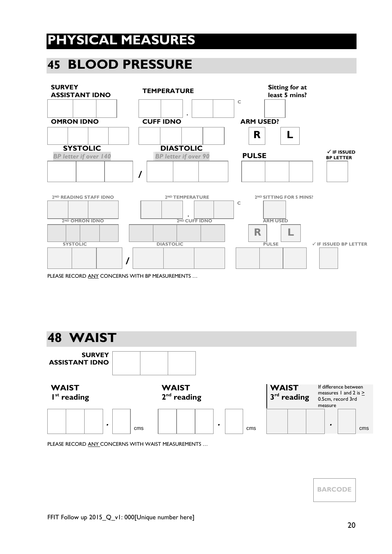# **PHYSICAL MEASURES**

# **45 BLOOD PRESSURE**



PLEASE RECORD ANY CONCERNS WITH BP MEASUREMENTS …



PLEASE RECORD ANY CONCERNS WITH WAIST MEASUREMENTS …

**BARCODE**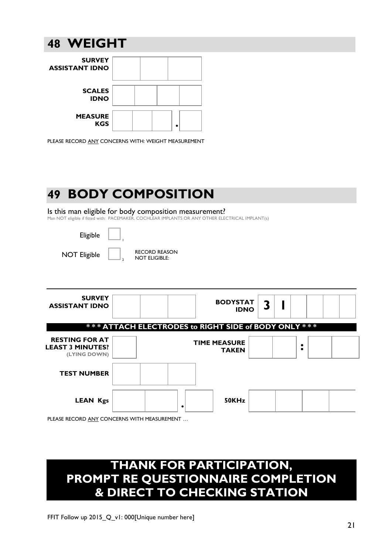# **48 WEIGHT**



PLEASE RECORD ANY CONCERNS WITH: WEIGHT MEASUREMENT

# **49 BODY COMPOSITION**

#### Is this man eligible for body composition measurement?

Man NOT eligible if fitted with: PACEMAKER, COCHLEAR IMPLANTS OR ANY OTHER ELECTRICAL IMPLANT(s)

| Eligible                                                         |                                              |                                     |                                                      |  |   |   |  |  |
|------------------------------------------------------------------|----------------------------------------------|-------------------------------------|------------------------------------------------------|--|---|---|--|--|
| <b>NOT Eligible</b>                                              | <b>RECORD REASON</b><br><b>NOT ELIGIBLE:</b> |                                     |                                                      |  |   |   |  |  |
|                                                                  |                                              |                                     |                                                      |  |   |   |  |  |
| <b>SURVEY</b><br><b>ASSISTANT IDNO</b>                           |                                              |                                     | <b>BODYSTAT</b><br><b>IDNO</b>                       |  | 3 |   |  |  |
|                                                                  |                                              |                                     | *** ATTACH ELECTRODES to RIGHT SIDE of BODY ONLY *** |  |   |   |  |  |
| <b>RESTING FOR AT</b><br><b>LEAST 3 MINUTES?</b><br>(LYING DOWN) |                                              | <b>TIME MEASURE</b><br><b>TAKEN</b> |                                                      |  |   | ٠ |  |  |
| <b>TEST NUMBER</b>                                               |                                              |                                     |                                                      |  |   |   |  |  |
| <b>LEAN Kgs</b>                                                  |                                              | ٠                                   | 50KHz                                                |  |   |   |  |  |

PLEASE RECORD ANY CONCERNS WITH MEASUREMENT …

# **THANK FOR PARTICIPATION, PROMPT RE QUESTIONNAIRE COMPLETION & DIRECT TO CHECKING STATION**